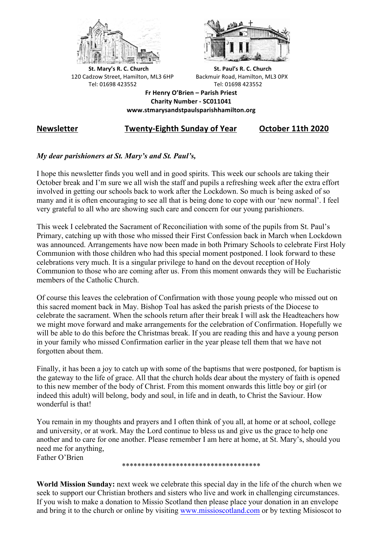



**St.** Mary's R. C. Church St. Paul's R. C. Church 120 Cadzow Street, Hamilton, ML3 6HP Backmuir Road, Hamilton, ML3 0PX Tel: 01698 423552 Tel: 01698 423552

**Fr Henry O'Brien – Parish Priest Charity Number - SC011041 www.stmarysandstpaulsparishhamilton.org**

# **Newsletter Twenty-Eighth Sunday of Year October 11th 2020**

## *My dear parishioners at St. Mary's and St. Paul's,*

I hope this newsletter finds you well and in good spirits. This week our schools are taking their October break and I'm sure we all wish the staff and pupils a refreshing week after the extra effort involved in getting our schools back to work after the Lockdown. So much is being asked of so many and it is often encouraging to see all that is being done to cope with our 'new normal'. I feel very grateful to all who are showing such care and concern for our young parishioners.

This week I celebrated the Sacrament of Reconciliation with some of the pupils from St. Paul's Primary, catching up with those who missed their First Confession back in March when Lockdown was announced. Arrangements have now been made in both Primary Schools to celebrate First Holy Communion with those children who had this special moment postponed. I look forward to these celebrations very much. It is a singular privilege to hand on the devout reception of Holy Communion to those who are coming after us. From this moment onwards they will be Eucharistic members of the Catholic Church.

Of course this leaves the celebration of Confirmation with those young people who missed out on this sacred moment back in May. Bishop Toal has asked the parish priests of the Diocese to celebrate the sacrament. When the schools return after their break I will ask the Headteachers how we might move forward and make arrangements for the celebration of Confirmation. Hopefully we will be able to do this before the Christmas break. If you are reading this and have a young person in your family who missed Confirmation earlier in the year please tell them that we have not forgotten about them.

Finally, it has been a joy to catch up with some of the baptisms that were postponed, for baptism is the gateway to the life of grace. All that the church holds dear about the mystery of faith is opened to this new member of the body of Christ. From this moment onwards this little boy or girl (or indeed this adult) will belong, body and soul, in life and in death, to Christ the Saviour. How wonderful is that!

You remain in my thoughts and prayers and I often think of you all, at home or at school, college and university, or at work. May the Lord continue to bless us and give us the grace to help one another and to care for one another. Please remember I am here at home, at St. Mary's, should you need me for anything, Father O'Brien

\*\*\*\*\*\*\*\*\*\*\*\*\*\*\*\*\*\*\*\*\*\*\*\*\*\*\*\*\*\*\*\*\*\*\*\*

**World Mission Sunday:** next week we celebrate this special day in the life of the church when we seek to support our Christian brothers and sisters who live and work in challenging circumstances. If you wish to make a donation to Missio Scotland then please place your donation in an envelope and bring it to the church or online by visiting www.missioscotland.com or by texting Misioscot to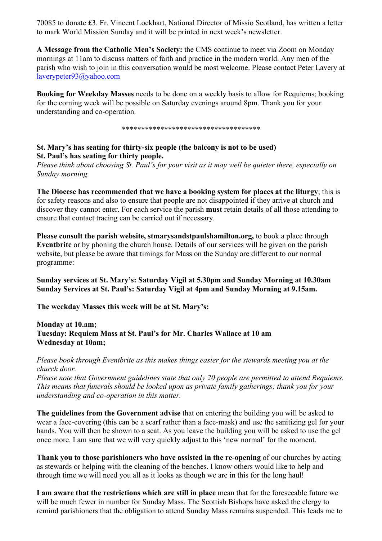70085 to donate £3. Fr. Vincent Lockhart, National Director of Missio Scotland, has written a letter to mark World Mission Sunday and it will be printed in next week's newsletter.

**A Message from the Catholic Men's Society:** the CMS continue to meet via Zoom on Monday mornings at 11am to discuss matters of faith and practice in the modern world. Any men of the parish who wish to join in this conversation would be most welcome. Please contact Peter Lavery at laverypeter93@yahoo.com

**Booking for Weekday Masses** needs to be done on a weekly basis to allow for Requiems; booking for the coming week will be possible on Saturday evenings around 8pm. Thank you for your understanding and co-operation.

\*\*\*\*\*\*\*\*\*\*\*\*\*\*\*\*\*\*\*\*\*\*\*\*\*\*\*\*\*\*\*\*\*\*\*\*

## **St. Mary's has seating for thirty-six people (the balcony is not to be used) St. Paul's has seating for thirty people.**

*Please think about choosing St. Paul's for your visit as it may well be quieter there, especially on Sunday morning.*

**The Diocese has recommended that we have a booking system for places at the liturgy**; this is for safety reasons and also to ensure that people are not disappointed if they arrive at church and discover they cannot enter. For each service the parish **must** retain details of all those attending to ensure that contact tracing can be carried out if necessary.

**Please consult the parish website, stmarysandstpaulshamilton.org,** to book a place through **Eventbrite** or by phoning the church house. Details of our services will be given on the parish website, but please be aware that timings for Mass on the Sunday are different to our normal programme:

**Sunday services at St. Mary's: Saturday Vigil at 5.30pm and Sunday Morning at 10.30am Sunday Services at St. Paul's: Saturday Vigil at 4pm and Sunday Morning at 9.15am.**

**The weekday Masses this week will be at St. Mary's:**

**Monday at 10.am; Tuesday: Requiem Mass at St. Paul's for Mr. Charles Wallace at 10 am Wednesday at 10am;** 

*Please book through Eventbrite as this makes things easier for the stewards meeting you at the church door.*

*Please note that Government guidelines state that only 20 people are permitted to attend Requiems. This means that funerals should be looked upon as private family gatherings; thank you for your understanding and co-operation in this matter.*

**The guidelines from the Government advise** that on entering the building you will be asked to wear a face-covering (this can be a scarf rather than a face-mask) and use the sanitizing gel for your hands. You will then be shown to a seat. As you leave the building you will be asked to use the gel once more. I am sure that we will very quickly adjust to this 'new normal' for the moment.

**Thank you to those parishioners who have assisted in the re-opening** of our churches by acting as stewards or helping with the cleaning of the benches. I know others would like to help and through time we will need you all as it looks as though we are in this for the long haul!

**I am aware that the restrictions which are still in place** mean that for the foreseeable future we will be much fewer in number for Sunday Mass. The Scottish Bishops have asked the clergy to remind parishioners that the obligation to attend Sunday Mass remains suspended. This leads me to